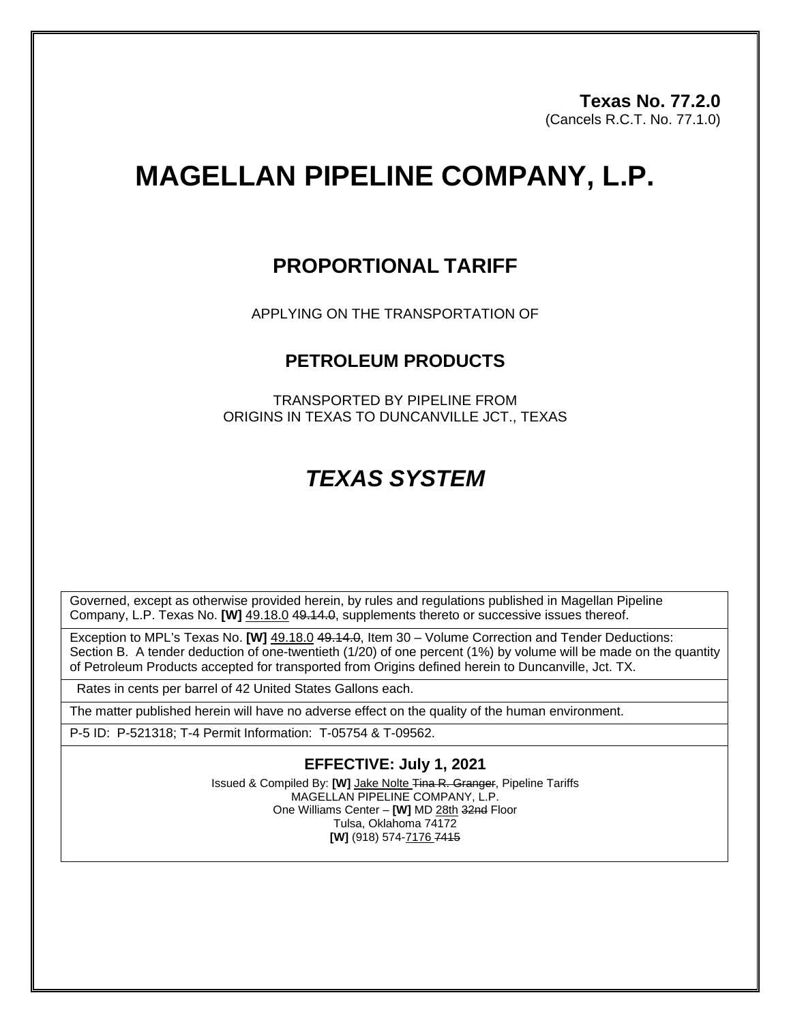**Texas No. 77.2.0** (Cancels R.C.T. No. 77.1.0)

# **MAGELLAN PIPELINE COMPANY, L.P.**

### **PROPORTIONAL TARIFF**

APPLYING ON THE TRANSPORTATION OF

#### **PETROLEUM PRODUCTS**

TRANSPORTED BY PIPELINE FROM ORIGINS IN TEXAS TO DUNCANVILLE JCT., TEXAS

## *TEXAS SYSTEM*

Governed, except as otherwise provided herein, by rules and regulations published in Magellan Pipeline Company, L.P. Texas No. **[W]** 49.18.0 49.14.0, supplements thereto or successive issues thereof.

Exception to MPL's Texas No. **[W]** 49.18.0 49.14.0, Item 30 – Volume Correction and Tender Deductions: Section B. A tender deduction of one-twentieth (1/20) of one percent (1%) by volume will be made on the quantity of Petroleum Products accepted for transported from Origins defined herein to Duncanville, Jct. TX.

Rates in cents per barrel of 42 United States Gallons each.

The matter published herein will have no adverse effect on the quality of the human environment.

P-5 ID: P-521318; T-4 Permit Information: T-05754 & T-09562.

#### **EFFECTIVE: July 1, 2021**

Issued & Compiled By: **[W]** Jake Nolte Tina R. Granger, Pipeline Tariffs MAGELLAN PIPELINE COMPANY, L.P. One Williams Center – **[W]** MD 28th 32nd Floor Tulsa, Oklahoma 74172 **[W]** (918) 574-7176 7415